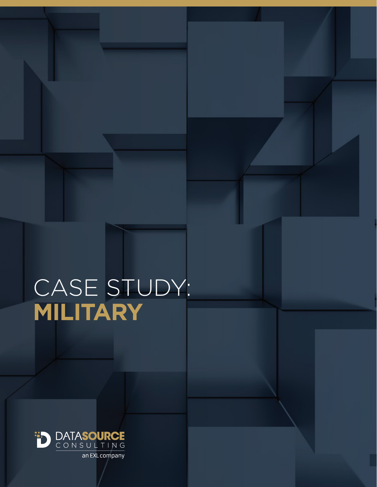# CASE STUDY: **MILITARY**



an EXL company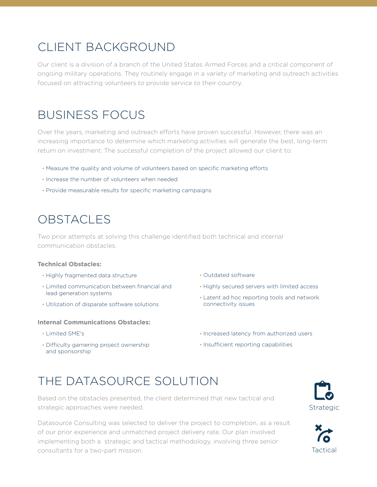### CLIENT BACKGROUND

Our client is a division of a branch of the United States Armed Forces and a critical component of ongoing military operations. They routinely engage in a variety of marketing and outreach activities focused on attracting volunteers to provide service to their country.

### BUSINESS FOCUS

Over the years, marketing and outreach efforts have proven successful. However, there was an increasing importance to determine which marketing activities will generate the best, long-term return on investment. The successful completion of the project allowed our client to:

- Measure the quality and volume of volunteers based on specific marketing efforts
- Increase the number of volunteers when needed
- Provide measurable results for specific marketing campaigns

### **OBSTACLES**

Two prior attempts at solving this challenge identified both technical and internal communication obstacles.

#### **Technical Obstacles:**

- Highly fragmented data structure
- Limited communication between financial and lead generation systems
- Utilization of disparate software solutions

#### **Internal Communications Obstacles:**

- Limited SME's
- Difficulty garnering project ownership and sponsorship
- Outdated software
- Highly secured servers with limited access
- Latent ad hoc reporting tools and network connectivity issues
- Increased latency from authorized users
- Insufficient reporting capabilities

### THE DATASOURCE SOLUTION

Based on the obstacles presented, the client determined that new tactical and strategic approaches were needed.

Datasource Consulting was selected to deliver the project to completion, as a result of our prior experience and unmatched project delivery rate. Our plan involved implementing both a strategic and tactical methodology, involving three senior consultants for a two-part mission.



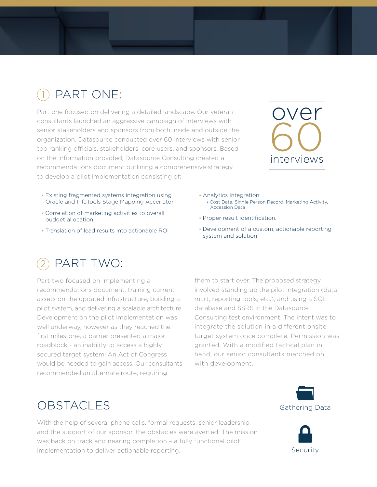#### PART ONE: 1

Part one focused on delivering a detailed landscape. Our veteran consultants launched an aggressive campaign of interviews with senior stakeholders and sponsors from both inside and outside the organization. Datasource conducted over 60 interviews with senior top ranking officials, stakeholders, core users, and sponsors. Based on the information provided, Datasource Consulting created a recommendations document outlining a comprehensive strategy to develop a pilot implementation consisting of:



- Existing fragmented systems integration using Oracle and InfaTools Stage Mapping Accerlator
- Correlation of marketing activities to overall budget allocation
- Translation of lead results into actionable ROI

#### PART TWO: 2

Part two focused on implementing a recommendations document, training current assets on the updated infrastructure, building a pilot system, and delivering a scalable architecture. Development on the pilot implementation was well underway, however as they reached the first milestone, a barrier presented a major roadblock - an inability to access a highly secured target system. An Act of Congress would be needed to gain access. Our consultants recommended an alternate route, requiring

- Analytics Integration: • Cost Data, Single Person Record, Marketing Activity, Accession Data
- Proper result identification.
- Development of a custom, actionable reporting system and solution

them to start over. The proposed strategy involved standing up the pilot integration (data mart, reporting tools, etc.), and using a SQL database and SSRS in the Datasource Consulting test environment. The intent was to integrate the solution in a different onsite target system once complete. Permission was granted. With a modified tactical plan in hand, our senior consultants marched on with development.

### OBSTACLES Gathering Data

With the help of several phone calls, formal requests, senior leadership, and the support of our sponsor, the obstacles were averted. The mission was back on track and nearing completion – a fully functional pilot implementation to deliver actionable reporting.